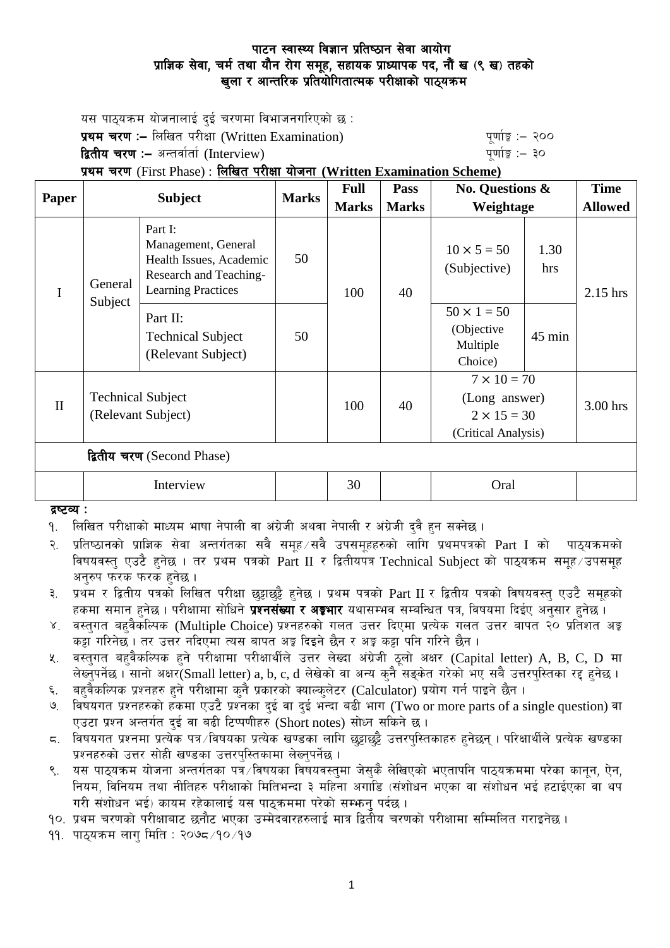## पाटन स्वास्थ्य विज्ञान प्रतिष्ठान सेवा आयोग प्राज्ञिक सेवा, चर्म तथा यौन रोग समूह, सहायक प्राध्यापक पद, नौं ख (९ ख) तहको खुला र आन्तरिक प्रतियोगितात्मक परीक्षाको पाठ्यकम

यस पाठ्यक्रम योजनालाई दुई चरणमा विभाजनगरिएको छ $\,$ : प्रथम चरण :- लिखित परीक्षा (Written Examination) x 200 पूर्णाङ्ग :- २०० **द्वितीय चरण :–** अन्तर्वार्ता (Interview) kathlo-setting and the setting the setting  $\frac{1}{2}$  and  $\frac{1}{2}$ k|yd r/0f (First Phase) : lnlvt k/LIff of]hgf **(Written Examination Scheme)** Pass | No. Questions &

| <b>Paper</b>               | <b>Subject</b>                                 |                                                                                                                  | <b>Marks</b> | <b>Full</b>  | Pass         | <b>No. Questions &amp;</b><br>Weightage                                          |                  | <b>Time</b>    |
|----------------------------|------------------------------------------------|------------------------------------------------------------------------------------------------------------------|--------------|--------------|--------------|----------------------------------------------------------------------------------|------------------|----------------|
|                            |                                                |                                                                                                                  |              | <b>Marks</b> | <b>Marks</b> |                                                                                  |                  | <b>Allowed</b> |
| I                          | General<br>Subject                             | Part I:<br>Management, General<br>Health Issues, Academic<br>Research and Teaching-<br><b>Learning Practices</b> | 50           | 100          | 40           | $10 \times 5 = 50$<br>(Subjective)                                               | 1.30<br>hrs      | $2.15$ hrs     |
|                            |                                                | Part II:<br><b>Technical Subject</b><br>(Relevant Subject)                                                       | 50           |              |              | $50 \times 1 = 50$<br>(Objective<br>Multiple<br>Choice)                          | $45 \text{ min}$ |                |
| $\mathbf{I}$               | <b>Technical Subject</b><br>(Relevant Subject) |                                                                                                                  |              | 100          | 40           | $7 \times 10 = 70$<br>(Long answer)<br>$2 \times 15 = 30$<br>(Critical Analysis) |                  | $3.00$ hrs     |
| द्वितीय चरण (Second Phase) |                                                |                                                                                                                  |              |              |              |                                                                                  |                  |                |
|                            | Interview                                      |                                                                                                                  |              | 30           |              | Oral                                                                             |                  |                |

द्रष्टव्य :

<u>9. लिखित परीक्षाको माध्यम भाषा नेपाली वा अंग्रेजी अथवा नेपाली र अंग्रेजी दवै हन सक्नेछ ।</u>

२. प्रतिष्ठानको प्राज्ञिक सेवा अन्तर्गतका सवै समूह ∕सवै उपसमूहहरुको लागि प्रथमपत्रको Part I को पाठ्यक्रमको विषयवस्त् एउटै हुनेछ । तर प्रथम पत्रको Part II र द्वितीयपत्र Technical Subject को पाठ्यक्रम समूह उपसमूह अनरुप फरक फरक हनेछ ।

३. प्रथम र द्वितीय पत्रको लिखित परीक्षा छट्टाछट्टै हुनेछ । प्रथम पत्रको Part II र द्वितीय पत्रको विषयवस्तु एउटै समूहको हकमा समान हुनेछ । परीक्षामा सोधिने **प्रश्नसंख्या र अङ्गभार** यथासम्भव सम्बन्धित पत्र, विषयमा दिईए अनुसार हुनेछ ।

- ४. वस्तुगत बहुवैकस्पिक (Multiple Choice) प्रश्नहरुको गलत उत्तर दिएमा प्रत्येक गलत उत्तर बापत २० प्रतिशत अङ्क कट्टा गरिनेछ । तर उत्तर नदिएमा त्यस बापत अङ्ग दिइने छैन र अङ्ग कट्टा पनि गरिने छैन ।
- $x$ . वस्तुगत बहवैकल्पिक हने परीक्षामा परीक्षार्थीले उत्तर लेख्दा अंग्रेजी ठूलो अक्षर (Capital letter) A, B, C, D मा लेख्नुपर्नेछ। सानो अक्षर $\widetilde{\rm S}$ mall letter) a, b, c, d लेखेको वा अन्य कुनै सङ्केत गरेको भए सबै उत्तरपुस्तिका रद्द हुनेछ।
- ६. वहवैकल्पिक प्रश्नहरु हुने परीक्षामा कुनै प्रकारको क्याल्कुलेटर (Calculator) प्रयोग गर्न पाइने छैन ।
- ७. विषयगत प्रश्नहरुको हकमा एउटै प्रश्नका दुई वा दुई भन्दा बढी भाग (Two or more parts of a single question) वा एउटा प्रश्न अन्तर्गत दई वा बढी टिप्पणीहरु (Short notes) सोध्न सकिने छ।
- $\,$  s. ) विषयगत प्रश्नमा प्रत्येक पत्र /विषयका प्रत्येक खण्डका लागि छड़ाछड़ै उत्तरपस्तिकाहरु हनेछन । परिक्षार्थीले प्रत्येक खण्डका प्रश्नहरुको उत्तर सोही खण्डका उत्तरपुस्तिकामा लेख्नुपर्नेछ ।
- ९. यस पाठ्यक्रम योजना अन्तर्गतका पत्रॅं/विषयका विषयवस्तुमा जेसुकै लेखिएको भएतापनि पाठ्यक्रममा परेका कानून, ऐन, नियम, विनियम तथा नीतिहरु परीक्षाको मितिभन्दा ३ महिना अगाडि (संशोधन भएका वा संशोधन भई हटाईएका वा थप गरी संशोधन भई) कायम रहेकालाई यस पाठकममा परेको सम्फन पर्दछ ।

<u>१</u>०. प्रथम चरणको परीक्षाबाट छनौट भएका उम्मेदवारहरुलाई मात्र द्वितीय चरणको परीक्षामा सम्मिलित गराइनेछ ।

११. पाठुयक्रम लाग मिति : २०७८ ⁄ १० ⁄ १७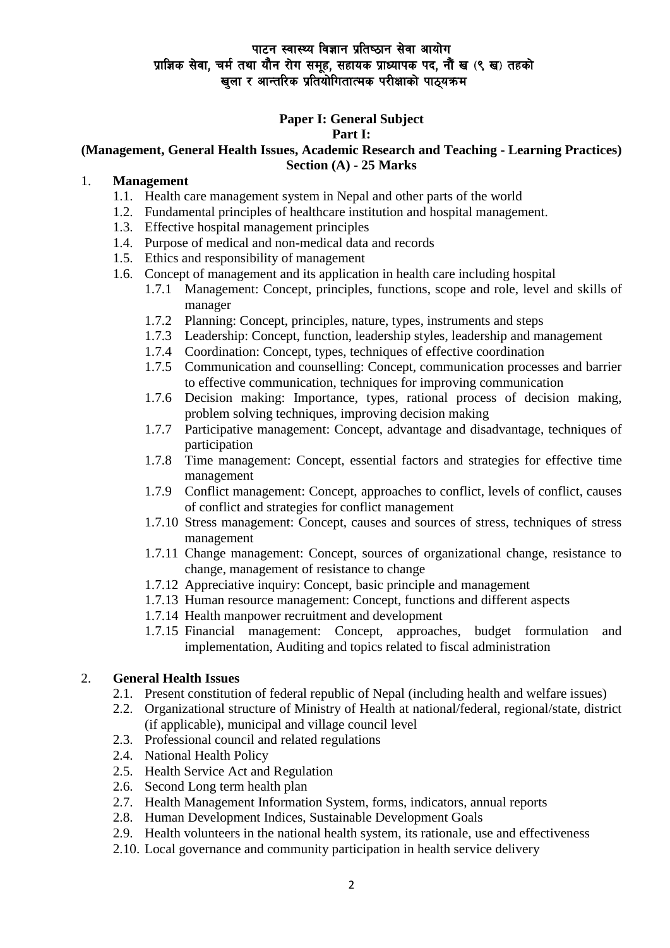### पाटन स्वास्थ्य विज्ञान प्रतिष्ठान सेवा आयोग प्राज्ञिक सेवा, चर्म तथा यौन रोग समूह, सहायक प्राध्यापक पद, नौं ख (९ ख) तहको खुला र आन्तरिक प्रतियोगितात्मक परीक्षाको पाठ्यक्रम

# **Paper I: General Subject**

### **Part I:**

#### **(Management, General Health Issues, Academic Research and Teaching - Learning Practices) Section (A) - 25 Marks**

### 1. **Management**

- 1.1. Health care management system in Nepal and other parts of the world
- 1.2. Fundamental principles of healthcare institution and hospital management.
- 1.3. Effective hospital management principles
- 1.4. Purpose of medical and non-medical data and records
- 1.5. Ethics and responsibility of management
- 1.6. Concept of management and its application in health care including hospital
	- 1.7.1 Management: Concept, principles, functions, scope and role, level and skills of manager
	- 1.7.2 Planning: Concept, principles, nature, types, instruments and steps
	- 1.7.3 Leadership: Concept, function, leadership styles, leadership and management
	- 1.7.4 Coordination: Concept, types, techniques of effective coordination
	- 1.7.5 Communication and counselling: Concept, communication processes and barrier to effective communication, techniques for improving communication
	- 1.7.6 Decision making: Importance, types, rational process of decision making, problem solving techniques, improving decision making
	- 1.7.7 Participative management: Concept, advantage and disadvantage, techniques of participation
	- 1.7.8 Time management: Concept, essential factors and strategies for effective time management
	- 1.7.9 Conflict management: Concept, approaches to conflict, levels of conflict, causes of conflict and strategies for conflict management
	- 1.7.10 Stress management: Concept, causes and sources of stress, techniques of stress management
	- 1.7.11 Change management: Concept, sources of organizational change, resistance to change, management of resistance to change
	- 1.7.12 Appreciative inquiry: Concept, basic principle and management
	- 1.7.13 Human resource management: Concept, functions and different aspects
	- 1.7.14 Health manpower recruitment and development
	- 1.7.15 Financial management: Concept, approaches, budget formulation and implementation, Auditing and topics related to fiscal administration

### 2. **General Health Issues**

- 2.1. Present constitution of federal republic of Nepal (including health and welfare issues)
- 2.2. Organizational structure of Ministry of Health at national/federal, regional/state, district (if applicable), municipal and village council level
- 2.3. Professional council and related regulations
- 2.4. National Health Policy
- 2.5. Health Service Act and Regulation
- 2.6. Second Long term health plan
- 2.7. Health Management Information System, forms, indicators, annual reports
- 2.8. Human Development Indices, Sustainable Development Goals
- 2.9. Health volunteers in the national health system, its rationale, use and effectiveness
- 2.10. Local governance and community participation in health service delivery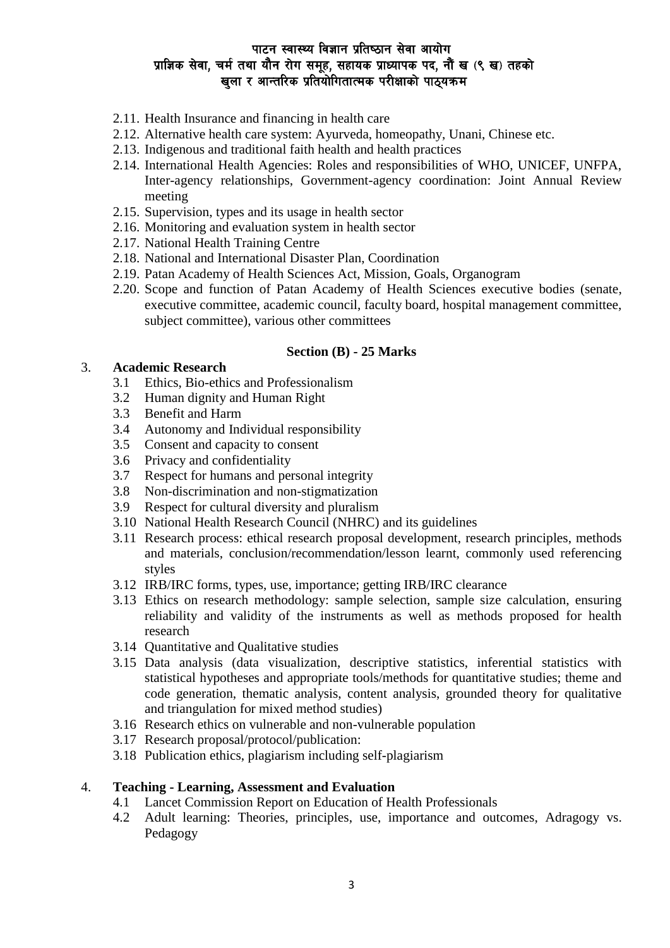## पाटन स्वास्थ्य विज्ञान प्रतिष्ठान सेवा आयोग प्राज्ञिक सेवा, चर्म तथा यौन रोग समूह, सहायक प्राध्यापक पद, नौं ख (९ ख) तहको खुला र आन्तरिक प्रतियोगितात्मक परीक्षाको पाठ्यक्रम

- 2.11. Health Insurance and financing in health care
- 2.12. Alternative health care system: Ayurveda, homeopathy, Unani, Chinese etc.
- 2.13. Indigenous and traditional faith health and health practices
- 2.14. International Health Agencies: Roles and responsibilities of WHO, UNICEF, UNFPA, Inter-agency relationships, Government-agency coordination: Joint Annual Review meeting
- 2.15. Supervision, types and its usage in health sector
- 2.16. Monitoring and evaluation system in health sector
- 2.17. National Health Training Centre
- 2.18. National and International Disaster Plan, Coordination
- 2.19. Patan Academy of Health Sciences Act, Mission, Goals, Organogram
- 2.20. Scope and function of Patan Academy of Health Sciences executive bodies (senate, executive committee, academic council, faculty board, hospital management committee, subject committee), various other committees

#### **Section (B) - 25 Marks**

### 3. **Academic Research**

- 3.1 Ethics, Bio-ethics and Professionalism
- 3.2 Human dignity and Human Right
- 3.3 Benefit and Harm
- 3.4 Autonomy and Individual responsibility
- 3.5 Consent and capacity to consent
- 3.6 Privacy and confidentiality
- 3.7 Respect for humans and personal integrity
- 3.8 Non-discrimination and non-stigmatization
- 3.9 Respect for cultural diversity and pluralism
- 3.10 National Health Research Council (NHRC) and its guidelines
- 3.11 Research process: ethical research proposal development, research principles, methods and materials, conclusion/recommendation/lesson learnt, commonly used referencing styles
- 3.12 IRB/IRC forms, types, use, importance; getting IRB/IRC clearance
- 3.13 Ethics on research methodology: sample selection, sample size calculation, ensuring reliability and validity of the instruments as well as methods proposed for health research
- 3.14 Quantitative and Qualitative studies
- 3.15 Data analysis (data visualization, descriptive statistics, inferential statistics with statistical hypotheses and appropriate tools/methods for quantitative studies; theme and code generation, thematic analysis, content analysis, grounded theory for qualitative and triangulation for mixed method studies)
- 3.16 Research ethics on vulnerable and non-vulnerable population
- 3.17 Research proposal/protocol/publication:
- 3.18 Publication ethics, plagiarism including self-plagiarism

#### 4. **Teaching - Learning, Assessment and Evaluation**

- 4.1 Lancet Commission Report on Education of Health Professionals
- 4.2 Adult learning: Theories, principles, use, importance and outcomes, Adragogy vs. Pedagogy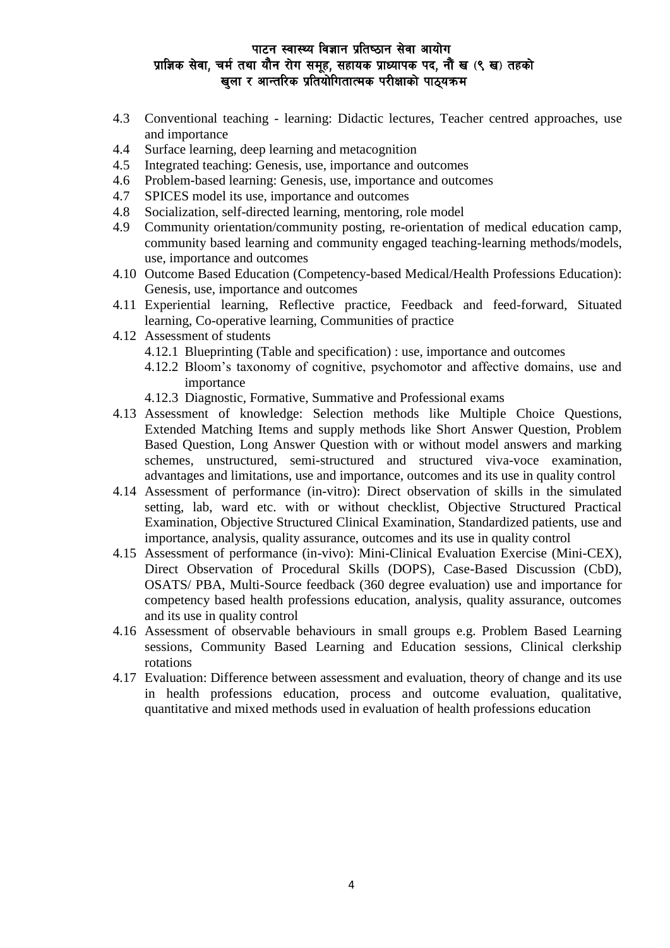### पाटन स्वास्थ्य विज्ञान प्रतिष्ठान सेवा आयोग प्राज्ञिक सेवा, चर्म तथा यौन रोग समूह, सहायक प्राध्यापक पद, नौं ख (९ ख) तहको खला र आन्तरिक प्रतियोगितात्मक परीक्षाको पाठयक्रम

- 4.3 Conventional teaching learning: Didactic lectures, Teacher centred approaches, use and importance
- 4.4 Surface learning, deep learning and metacognition
- 4.5 Integrated teaching: Genesis, use, importance and outcomes
- 4.6 Problem-based learning: Genesis, use, importance and outcomes
- 4.7 SPICES model its use, importance and outcomes
- 4.8 Socialization, self-directed learning, mentoring, role model
- 4.9 Community orientation/community posting, re-orientation of medical education camp, community based learning and community engaged teaching-learning methods/models, use, importance and outcomes
- 4.10 Outcome Based Education (Competency-based Medical/Health Professions Education): Genesis, use, importance and outcomes
- 4.11 Experiential learning, Reflective practice, Feedback and feed-forward, Situated learning, Co-operative learning, Communities of practice
- 4.12 Assessment of students
	- 4.12.1 Blueprinting (Table and specification) : use, importance and outcomes
	- 4.12.2 Bloom's taxonomy of cognitive, psychomotor and affective domains, use and importance
	- 4.12.3 Diagnostic, Formative, Summative and Professional exams
- 4.13 Assessment of knowledge: Selection methods like Multiple Choice Questions, Extended Matching Items and supply methods like Short Answer Question, Problem Based Question, Long Answer Question with or without model answers and marking schemes, unstructured, semi-structured and structured viva-voce examination, advantages and limitations, use and importance, outcomes and its use in quality control
- 4.14 Assessment of performance (in-vitro): Direct observation of skills in the simulated setting, lab, ward etc. with or without checklist, Objective Structured Practical Examination, Objective Structured Clinical Examination, Standardized patients, use and importance, analysis, quality assurance, outcomes and its use in quality control
- 4.15 Assessment of performance (in-vivo): Mini-Clinical Evaluation Exercise (Mini-CEX), Direct Observation of Procedural Skills (DOPS), Case-Based Discussion (CbD), OSATS/ PBA, Multi-Source feedback (360 degree evaluation) use and importance for competency based health professions education, analysis, quality assurance, outcomes and its use in quality control
- 4.16 Assessment of observable behaviours in small groups e.g. Problem Based Learning sessions, Community Based Learning and Education sessions, Clinical clerkship rotations
- 4.17 Evaluation: Difference between assessment and evaluation, theory of change and its use in health professions education, process and outcome evaluation, qualitative, quantitative and mixed methods used in evaluation of health professions education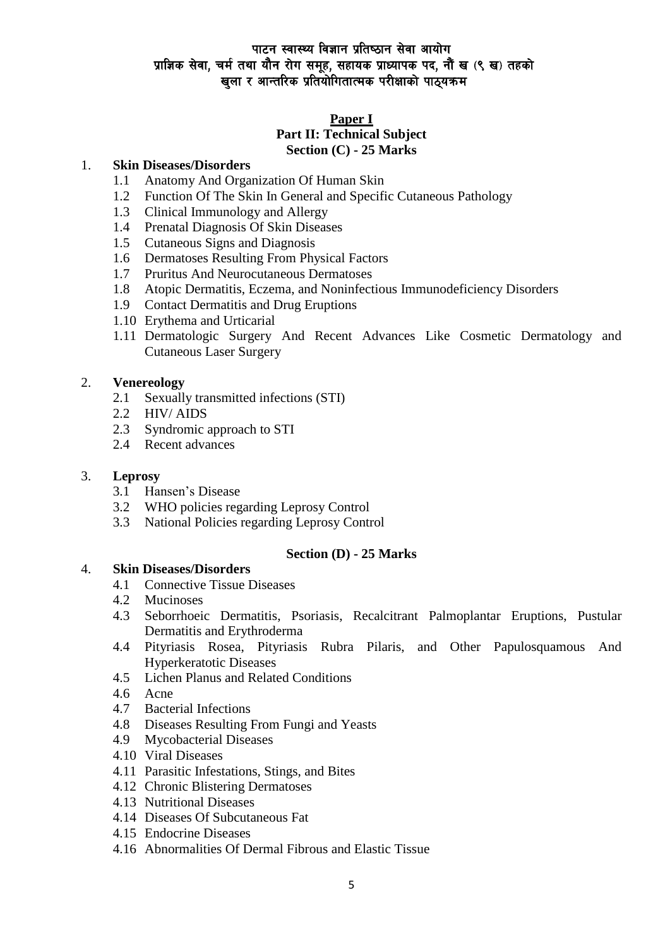## पाटन स्वास्थ्य विज्ञान प्रतिष्ठान सेवा आयोग प्राज्ञिक सेवा, चर्म तथा यौन रोग समूह, सहायक प्राध्यापक पद, नौं ख (९ ख) तहको खला र आन्तरिक प्रतियोगितात्मक परीक्षाको पाठयक्रम

### **Paper I**

### **Part II: Technical Subject Section (C) - 25 Marks**

#### 1. **Skin Diseases/Disorders**

- 1.1 Anatomy And Organization Of Human Skin
- 1.2 Function Of The Skin In General and Specific Cutaneous Pathology
- 1.3 Clinical Immunology and Allergy
- 1.4 Prenatal Diagnosis Of Skin Diseases
- 1.5 Cutaneous Signs and Diagnosis
- 1.6 Dermatoses Resulting From Physical Factors
- 1.7 Pruritus And Neurocutaneous Dermatoses
- 1.8 Atopic Dermatitis, Eczema, and Noninfectious Immunodeficiency Disorders
- 1.9 Contact Dermatitis and Drug Eruptions
- 1.10 Erythema and Urticarial
- 1.11 Dermatologic Surgery And Recent Advances Like Cosmetic Dermatology and Cutaneous Laser Surgery

#### 2. **Venereology**

- 2.1 Sexually transmitted infections (STI)
- 2.2 HIV/ AIDS
- 2.3 Syndromic approach to STI
- 2.4 Recent advances

#### 3. **Leprosy**

- 3.1 Hansen's Disease
- 3.2 WHO policies regarding Leprosy Control
- 3.3 National Policies regarding Leprosy Control

### **Section (D) - 25 Marks**

### 4. **Skin Diseases/Disorders**

- 4.1 Connective Tissue Diseases
- 4.2 Mucinoses
- 4.3 Seborrhoeic Dermatitis, Psoriasis, Recalcitrant Palmoplantar Eruptions, Pustular Dermatitis and Erythroderma
- 4.4 Pityriasis Rosea, Pityriasis Rubra Pilaris, and Other Papulosquamous And Hyperkeratotic Diseases
- 4.5 Lichen Planus and Related Conditions
- 4.6 Acne
- 4.7 Bacterial Infections
- 4.8 Diseases Resulting From Fungi and Yeasts
- 4.9 Mycobacterial Diseases
- 4.10 Viral Diseases
- 4.11 Parasitic Infestations, Stings, and Bites
- 4.12 Chronic Blistering Dermatoses
- 4.13 Nutritional Diseases
- 4.14 Diseases Of Subcutaneous Fat
- 4.15 Endocrine Diseases
- 4.16 Abnormalities Of Dermal Fibrous and Elastic Tissue